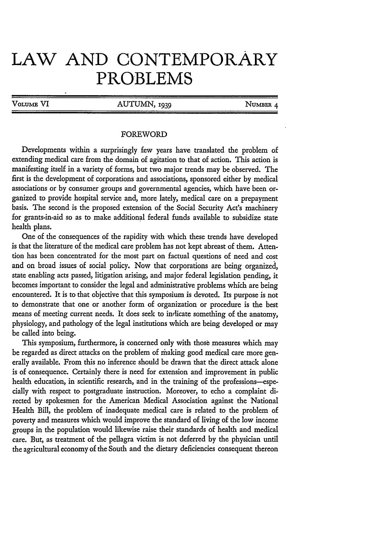## **LAW AND CONTEMPORARY PROBLEMS**

**VOLUME VI** AUTUMN, 1939 NUMBER 4

## FOREWORD

Developments within a surprisingly few years have translated the problem of extending medical care from the domain of agitation to that of action. This action is manifesting itself in a variety of forms, but two major trends may be observed. The first is the development of corporations and associations, sponsored either by medical associations or by consumer groups and governmental agencies, which have been organized to provide hospital service and, more lately, medical care on a prepayment basis. The second is the proposed extension of the Social Security Act's machinery for grants-in-aid so as to make additional federal funds available to subsidize state health plans.

One of the consequences of the rapidity with which these trends have developed is that the literature of the medical care problem has not kept abreast of them. Attention has been concentrated for the most part on factual questions of need and cost and on broad issues of social policy. Now that corporations are being organized, state enabling acts passed, litigation arising, and major federal legislation pending, it becomes important to consider the legal and administrative problems which are being encountered. It is to that objective that this symposium is devoted. Its purpose is not to demonstrate that one or another form of organization or procedure is the best means of meeting current needs. It does seek to indicate something of the anatomy, physiology, and pathology of the legal institutions which are being developed or may be called into being.

This symposium, furthermore, is concerned only with those measures which may be regarded as direct attacks on the problem of making good medical care more generally available. From this no inference should be drawn that the direct attack alone is of consequence. Certainly there is need for extension and improvement in public health education, in scientific research, and in the training of the professions-especially with respect to postgraduate instruction. Moreover, to echo a complaint directed by spokesmen for the American Medical Association against the National Health Bill, the problem of inadequate medical care is related to the problem of poverty and measures which would improve the standard of living of the low income groups in the population would likewise raise their standards of health and medical care. But, as treatment of the pellagra victim is not deferred by the physician until the agricultural economy of the South and the dietary deficiencies consequent thereon